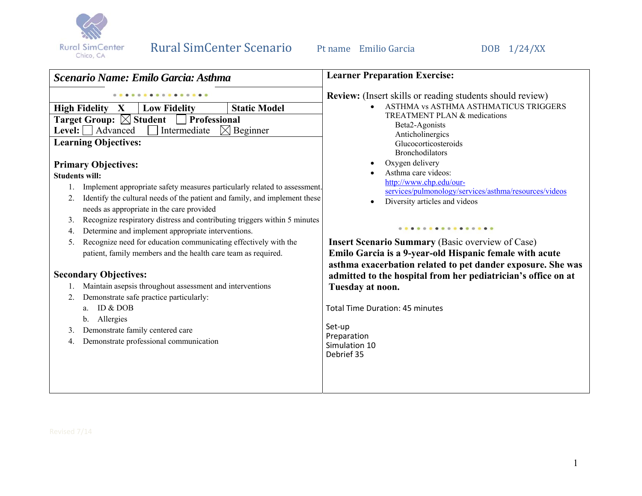

| Scenario Name: Emilo Garcia: Asthma                                              | <b>Learner Preparation Exercise:</b>                                             |
|----------------------------------------------------------------------------------|----------------------------------------------------------------------------------|
|                                                                                  | <b>Review:</b> (Insert skills or reading students should review)                 |
| <b>Static Model</b><br><b>High Fidelity X</b><br><b>Low Fidelity</b>             | ASTHMA vs ASTHMA ASTHMATICUS TRIGGERS                                            |
| <b>Target Group:</b> $\boxtimes$ Student<br>Professional                         | <b>TREATMENT PLAN &amp; medications</b><br>Beta2-Agonists                        |
| Level: $\Box$ Advanced<br>Intermediate<br>$\boxtimes$ Beginner                   | Anticholinergics                                                                 |
| <b>Learning Objectives:</b>                                                      | Glucocorticosteroids                                                             |
|                                                                                  | <b>Bronchodilators</b>                                                           |
| <b>Primary Objectives:</b>                                                       | Oxygen delivery                                                                  |
| <b>Students will:</b>                                                            | Asthma care videos:                                                              |
| Implement appropriate safety measures particularly related to assessment.        | http://www.chp.edu/our-<br>services/pulmonology/services/asthma/resources/videos |
| Identify the cultural needs of the patient and family, and implement these<br>2. | Diversity articles and videos<br>$\bullet$                                       |
| needs as appropriate in the care provided                                        |                                                                                  |
| Recognize respiratory distress and contributing triggers within 5 minutes<br>3.  |                                                                                  |
| Determine and implement appropriate interventions.<br>4.                         | .                                                                                |
| Recognize need for education communicating effectively with the<br>5.            | <b>Insert Scenario Summary (Basic overview of Case)</b>                          |
| patient, family members and the health care team as required.                    | Emilo Garcia is a 9-year-old Hispanic female with acute                          |
|                                                                                  | asthma exacerbation related to pet dander exposure. She was                      |
| <b>Secondary Objectives:</b>                                                     | admitted to the hospital from her pediatrician's office on at                    |
| Maintain asepsis throughout assessment and interventions                         | Tuesday at noon.                                                                 |
| Demonstrate safe practice particularly:<br>2.                                    |                                                                                  |
| ID & DOB<br>a.                                                                   | <b>Total Time Duration: 45 minutes</b>                                           |
| Allergies<br>b.                                                                  |                                                                                  |
| Demonstrate family centered care<br>3.                                           | Set-up                                                                           |
| Demonstrate professional communication<br>4.                                     | Preparation<br>Simulation 10                                                     |
|                                                                                  | Debrief 35                                                                       |
|                                                                                  |                                                                                  |
|                                                                                  |                                                                                  |
|                                                                                  |                                                                                  |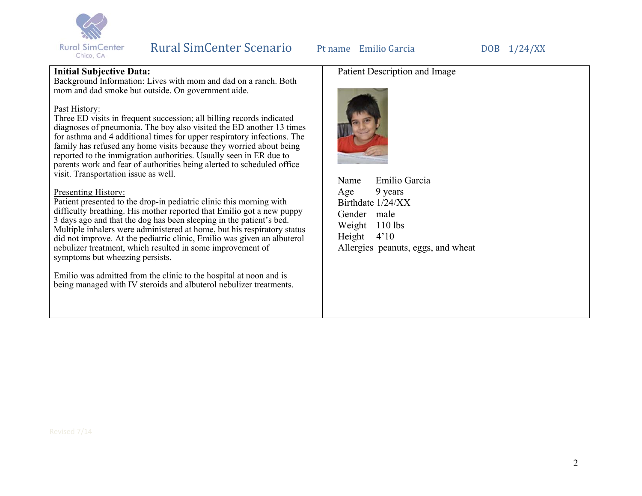

## **Initial Subjective Data:**

Background Information: Lives with mom and dad on a ranch. Both mom and dad smoke but outside. On government aide.

#### Past History:

Three ED visits in frequent succession; all billing records indicated diagnoses of pneumonia. The boy also visited the ED another 13 times for asthma and 4 additional times for upper respiratory infections. The family has refused any home visits because they worried about being reported to the immigration authorities. Usually seen in ER due to parents work and fear of authorities being alerted to scheduled office visit. Transportation issue as well.

#### Presenting History:

Patient presented to the drop-in pediatric clinic this morning with difficulty breathing. His mother reported that Emilio got a new puppy 3 days ago and that the dog has been sleeping in the patient's bed. Multiple inhalers were administered at home, but his respiratory status did not improve. At the pediatric clinic, Emilio was given an albuterol nebulizer treatment, which resulted in some improvement of symptoms but wheezing persists.

Emilio was admitted from the clinic to the hospital at noon and is being managed with IV steroids and albuterol nebulizer treatments.

# Patient Description and Image



Name Emilio Garcia Age 9 years Birthdate 1/24/XX Gender male Weight 110 lbs Height 4'10 Allergies peanuts, eggs, and wheat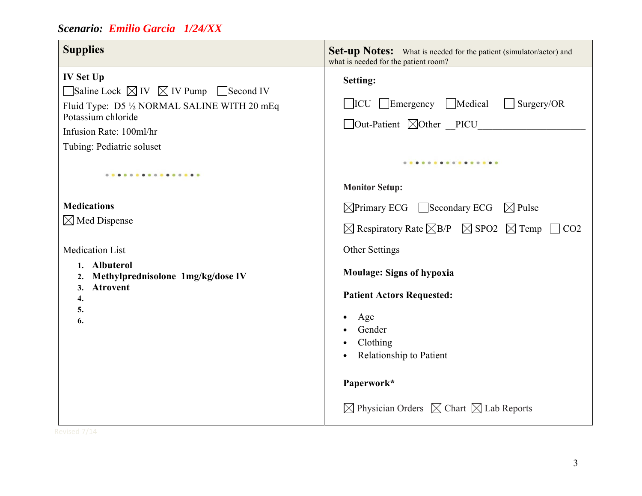| <b>Supplies</b>                                                                                                                                                                                                          | <b>Set-up Notes:</b> What is needed for the patient (simulator/actor) and<br>what is needed for the patient room?            |
|--------------------------------------------------------------------------------------------------------------------------------------------------------------------------------------------------------------------------|------------------------------------------------------------------------------------------------------------------------------|
| <b>IV Set Up</b><br>$\Box$ Saline Lock $\boxtimes$ IV $\boxtimes$ IV Pump $\Box$ Second IV<br>Fluid Type: D5 1/2 NORMAL SALINE WITH 20 mEq<br>Potassium chloride<br>Infusion Rate: 100ml/hr<br>Tubing: Pediatric soluset | Setting:<br>$\Box$ ICU $\Box$ Emergency $\Box$ Medical<br>$\Box$ Surgery/OR<br>□Out-Patient ⊠Other __PICU_________           |
|                                                                                                                                                                                                                          | <br><b>Monitor Setup:</b>                                                                                                    |
| <b>Medications</b>                                                                                                                                                                                                       | $\boxtimes$ Primary ECG Secondary ECG $\boxtimes$ Pulse                                                                      |
| $\boxtimes$ Med Dispense                                                                                                                                                                                                 | $\boxtimes$ Respiratory Rate $\boxtimes$ B/P $\boxtimes$ SPO2 $\boxtimes$ Temp $\Box$ CO2                                    |
| <b>Medication List</b>                                                                                                                                                                                                   | Other Settings                                                                                                               |
| 1. Albuterol<br>Methylprednisolone 1mg/kg/dose IV<br>2.<br><b>Atrovent</b><br>3.<br>4.<br>5.<br>6.                                                                                                                       | <b>Moulage: Signs of hypoxia</b><br><b>Patient Actors Requested:</b><br>Age<br>Gender<br>Clothing<br>Relationship to Patient |
|                                                                                                                                                                                                                          | Paperwork*                                                                                                                   |
|                                                                                                                                                                                                                          | $\boxtimes$ Physician Orders $\boxtimes$ Chart $\boxtimes$ Lab Reports                                                       |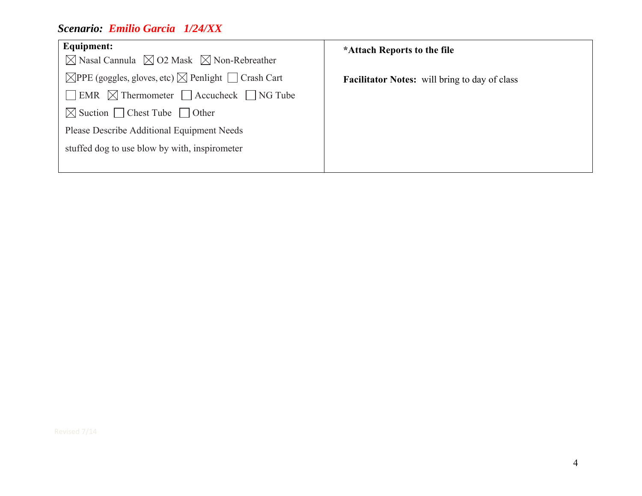| Equipment:<br>$\boxtimes$ Nasal Cannula $\boxtimes$ O2 Mask $\boxtimes$ Non-Rebreather | *Attach Reports to the file                          |
|----------------------------------------------------------------------------------------|------------------------------------------------------|
| $\boxtimes$ PPE (goggles, gloves, etc) $\boxtimes$ Penlight $\Box$ Crash Cart          | <b>Facilitator Notes:</b> will bring to day of class |
| $\Box$ EMR $\Box$ Thermometer $\Box$ Accucheck $\Box$ NG Tube                          |                                                      |
| $\boxtimes$ Suction $\Box$ Chest Tube $\Box$ Other                                     |                                                      |
| Please Describe Additional Equipment Needs                                             |                                                      |
| stuffed dog to use blow by with, inspirometer                                          |                                                      |
|                                                                                        |                                                      |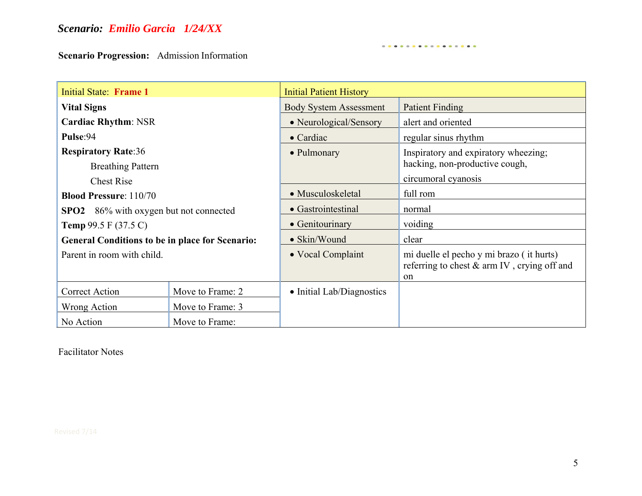**Scenario Progression:** Admission Information

| Initial State: Frame 1                                 |                  | <b>Initial Patient History</b> |                                                                                               |  |  |
|--------------------------------------------------------|------------------|--------------------------------|-----------------------------------------------------------------------------------------------|--|--|
| <b>Vital Signs</b>                                     |                  | <b>Body System Assessment</b>  | <b>Patient Finding</b>                                                                        |  |  |
| <b>Cardiac Rhythm: NSR</b>                             |                  | • Neurological/Sensory         | alert and oriented                                                                            |  |  |
| Pulse:94                                               |                  | $\bullet$ Cardiac              | regular sinus rhythm                                                                          |  |  |
| <b>Respiratory Rate:36</b>                             |                  | • Pulmonary                    | Inspiratory and expiratory wheezing;                                                          |  |  |
| <b>Breathing Pattern</b>                               |                  |                                | hacking, non-productive cough,                                                                |  |  |
| <b>Chest Rise</b>                                      |                  |                                | circumoral cyanosis                                                                           |  |  |
| <b>Blood Pressure: 110/70</b>                          |                  | • Musculoskeletal              | full rom                                                                                      |  |  |
| <b>SPO2</b> 86% with oxygen but not connected          |                  | • Gastrointestinal             | normal                                                                                        |  |  |
| <b>Temp 99.5</b> $F(37.5 C)$                           |                  | • Genitourinary                | voiding                                                                                       |  |  |
| <b>General Conditions to be in place for Scenario:</b> |                  | • Skin/Wound                   | clear                                                                                         |  |  |
| Parent in room with child.                             |                  | • Vocal Complaint              | mi duelle el pecho y mi brazo (it hurts)<br>referring to chest & arm IV, crying off and<br>on |  |  |
| <b>Correct Action</b>                                  | Move to Frame: 2 | • Initial Lab/Diagnostics      |                                                                                               |  |  |
| Wrong Action                                           | Move to Frame: 3 |                                |                                                                                               |  |  |
| No Action                                              | Move to Frame:   |                                |                                                                                               |  |  |

. **. . . . . . . . . . . . . . .** 

Facilitator Notes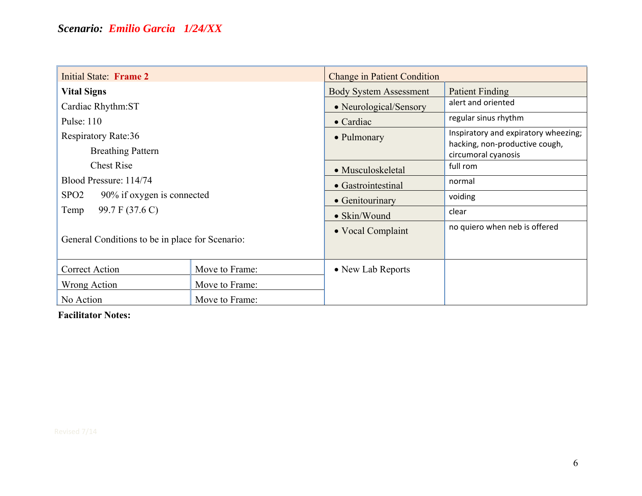| <b>Initial State: Frame 2</b>                                             |                | <b>Change in Patient Condition</b> |                                                       |  |
|---------------------------------------------------------------------------|----------------|------------------------------------|-------------------------------------------------------|--|
| <b>Vital Signs</b>                                                        |                | <b>Body System Assessment</b>      | Patient Finding                                       |  |
| Cardiac Rhythm:ST                                                         |                | • Neurological/Sensory             | alert and oriented                                    |  |
| Pulse: 110                                                                |                | $\bullet$ Cardiac                  | regular sinus rhythm                                  |  |
| <b>Respiratory Rate:36</b>                                                |                | • Pulmonary                        | Inspiratory and expiratory wheezing;                  |  |
| <b>Breathing Pattern</b>                                                  |                |                                    | hacking, non-productive cough,<br>circumoral cyanosis |  |
| <b>Chest Rise</b>                                                         |                | • Musculoskeletal                  | full rom                                              |  |
| Blood Pressure: 114/74                                                    |                | • Gastrointestinal                 | normal                                                |  |
| SPO <sub>2</sub><br>90% if oxygen is connected<br>99.7 F (37.6 C)<br>Temp |                | • Genitourinary                    | voiding                                               |  |
|                                                                           |                | • Skin/Wound                       | clear                                                 |  |
| General Conditions to be in place for Scenario:                           |                | • Vocal Complaint                  | no quiero when neb is offered                         |  |
| Correct Action                                                            | Move to Frame: | • New Lab Reports                  |                                                       |  |
| Wrong Action                                                              | Move to Frame: |                                    |                                                       |  |
| No Action                                                                 | Move to Frame: |                                    |                                                       |  |

**Facilitator Notes:**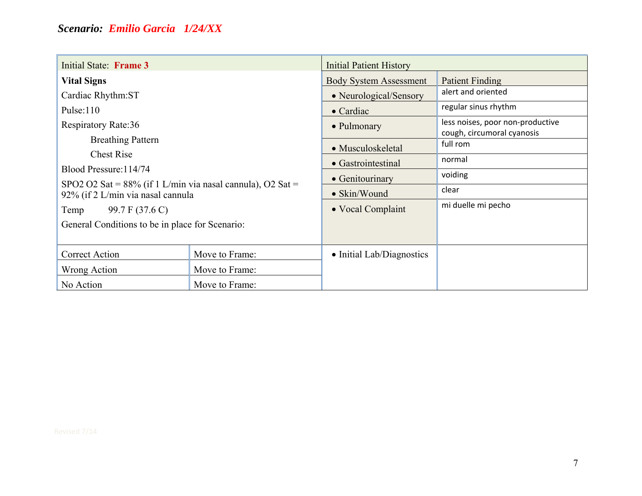| Initial State: Frame 3                                                                             |                | <b>Initial Patient History</b> |                                                                |
|----------------------------------------------------------------------------------------------------|----------------|--------------------------------|----------------------------------------------------------------|
| <b>Vital Signs</b>                                                                                 |                | <b>Body System Assessment</b>  | Patient Finding                                                |
| Cardiac Rhythm:ST                                                                                  |                | • Neurological/Sensory         | alert and oriented                                             |
| Pulse: $110$                                                                                       |                | $\bullet$ Cardiac              | regular sinus rhythm                                           |
| <b>Respiratory Rate:36</b>                                                                         |                | • Pulmonary                    | less noises, poor non-productive<br>cough, circumoral cyanosis |
| <b>Breathing Pattern</b>                                                                           |                | • Musculoskeletal              | full rom                                                       |
| <b>Chest Rise</b>                                                                                  |                | • Gastrointestinal             | normal                                                         |
| Blood Pressure: 114/74                                                                             |                | • Genitourinary                | voiding                                                        |
| SPO2 O2 Sat = $88\%$ (if 1 L/min via nasal cannula), O2 Sat =<br>92% (if 2 L/min via nasal cannula |                | $\bullet$ Skin/Wound           | clear                                                          |
| 99.7 F (37.6 C)<br>Temp                                                                            |                | • Vocal Complaint              | mi duelle mi pecho                                             |
| General Conditions to be in place for Scenario:                                                    |                |                                |                                                                |
|                                                                                                    |                |                                |                                                                |
| Correct Action                                                                                     | Move to Frame: | • Initial Lab/Diagnostics      |                                                                |
| Move to Frame:<br>Wrong Action                                                                     |                |                                |                                                                |
| No Action                                                                                          | Move to Frame: |                                |                                                                |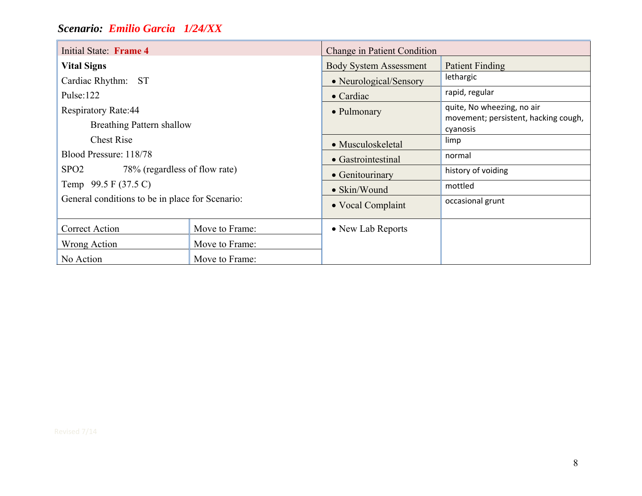| Initial State: Frame 4                            |                | Change in Patient Condition   |                                                  |  |
|---------------------------------------------------|----------------|-------------------------------|--------------------------------------------------|--|
| <b>Vital Signs</b>                                |                | <b>Body System Assessment</b> | <b>Patient Finding</b>                           |  |
| Cardiac Rhythm: ST                                |                | • Neurological/Sensory        | lethargic                                        |  |
| Pulse: $122$                                      |                | $\bullet$ Cardiac             | rapid, regular                                   |  |
| <b>Respiratory Rate:44</b>                        |                | • Pulmonary                   | quite, No wheezing, no air                       |  |
| <b>Breathing Pattern shallow</b>                  |                |                               | movement; persistent, hacking cough,<br>cyanosis |  |
| <b>Chest Rise</b>                                 |                | • Musculoskeletal             | limp                                             |  |
| Blood Pressure: 118/78                            |                | • Gastrointestinal            | normal                                           |  |
| SPO <sub>2</sub><br>78% (regardless of flow rate) |                | • Genitourinary               | history of voiding                               |  |
| Temp 99.5 F (37.5 C)                              |                | • Skin/Wound                  | mottled                                          |  |
| General conditions to be in place for Scenario:   |                | • Vocal Complaint             | occasional grunt                                 |  |
| Correct Action                                    | Move to Frame: | • New Lab Reports             |                                                  |  |
| Wrong Action                                      | Move to Frame: |                               |                                                  |  |
| No Action                                         | Move to Frame: |                               |                                                  |  |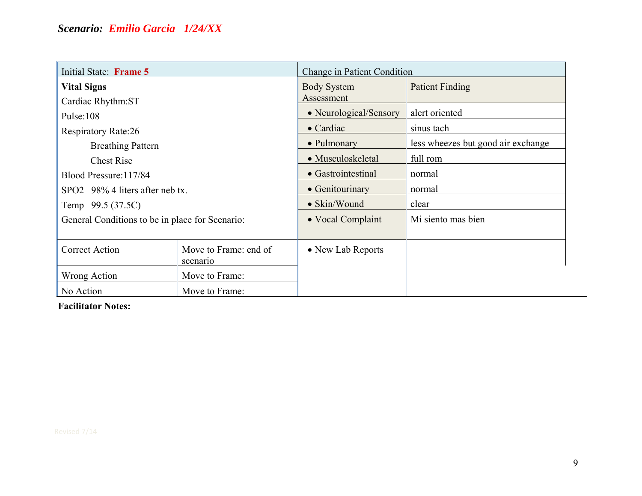| Initial State: Frame 5                          |                                   | Change in Patient Condition |                                    |
|-------------------------------------------------|-----------------------------------|-----------------------------|------------------------------------|
| <b>Vital Signs</b>                              |                                   | <b>Body System</b>          | <b>Patient Finding</b>             |
| Cardiac Rhythm:ST                               |                                   | Assessment                  |                                    |
| Pulse:108                                       |                                   | • Neurological/Sensory      | alert oriented                     |
| <b>Respiratory Rate:26</b>                      |                                   | $\bullet$ Cardiac           | sinus tach                         |
| <b>Breathing Pattern</b>                        |                                   | • Pulmonary                 | less wheezes but good air exchange |
| <b>Chest Rise</b>                               |                                   | • Musculoskeletal           | full rom                           |
| Blood Pressure: 117/84                          |                                   | • Gastrointestinal          | normal                             |
| SPO2 98% 4 liters after neb tx.                 |                                   | • Genitourinary             | normal                             |
| Temp 99.5 (37.5C)                               |                                   | • Skin/Wound                | clear                              |
| General Conditions to be in place for Scenario: |                                   | • Vocal Complaint           | Mi siento mas bien                 |
|                                                 |                                   |                             |                                    |
| <b>Correct Action</b>                           | Move to Frame: end of<br>scenario | • New Lab Reports           |                                    |
| Wrong Action                                    | Move to Frame:                    |                             |                                    |
| No Action                                       | Move to Frame:                    |                             |                                    |

**Facilitator Notes:**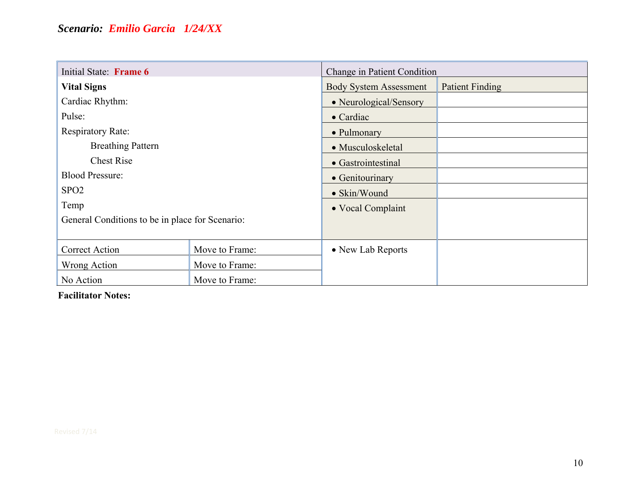| Initial State: Frame 6                          |                | Change in Patient Condition                             |  |  |
|-------------------------------------------------|----------------|---------------------------------------------------------|--|--|
| <b>Vital Signs</b>                              |                | <b>Patient Finding</b><br><b>Body System Assessment</b> |  |  |
| Cardiac Rhythm:                                 |                | • Neurological/Sensory                                  |  |  |
| Pulse:                                          |                | $\bullet$ Cardiac                                       |  |  |
| <b>Respiratory Rate:</b>                        |                | • Pulmonary                                             |  |  |
| <b>Breathing Pattern</b>                        |                | • Musculoskeletal                                       |  |  |
| <b>Chest Rise</b>                               |                | • Gastrointestinal                                      |  |  |
| <b>Blood Pressure:</b>                          |                | • Genitourinary                                         |  |  |
| SPO <sub>2</sub>                                |                | $\bullet$ Skin/Wound                                    |  |  |
| Temp                                            |                | • Vocal Complaint                                       |  |  |
| General Conditions to be in place for Scenario: |                |                                                         |  |  |
|                                                 |                |                                                         |  |  |
| <b>Correct Action</b>                           | Move to Frame: | • New Lab Reports                                       |  |  |
| Wrong Action                                    | Move to Frame: |                                                         |  |  |
| No Action                                       | Move to Frame: |                                                         |  |  |

**Facilitator Notes:**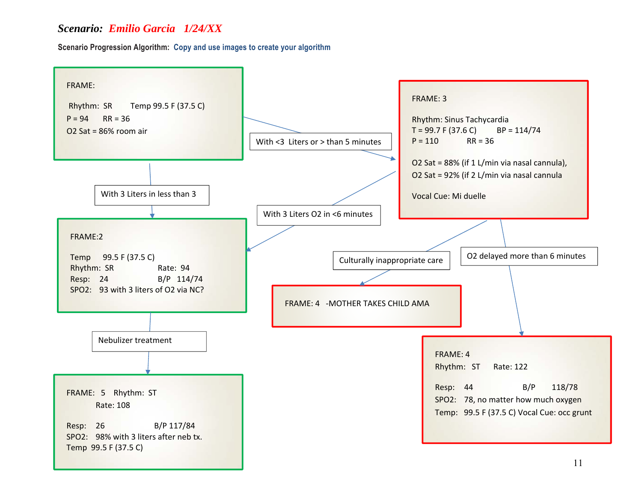**Scenario Progression Algorithm: Copy and use images to create your algorithm**

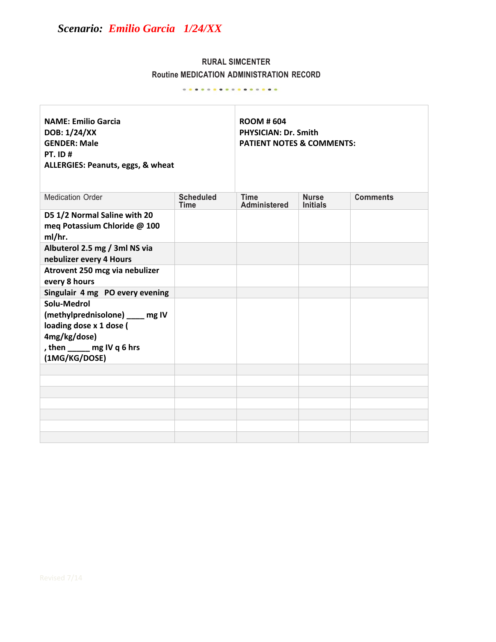# **RURAL SIMCENTER Routine MEDICATION ADMINISTRATION RECORD**

. **. . .** . . **. . . . . . . . . .** .

| <b>NAME: Emilio Garcia</b><br>DOB: 1/24/XX<br><b>GENDER: Male</b><br><b>PT. ID#</b><br>ALLERGIES: Peanuts, eggs, & wheat                |                                 | <b>ROOM #604</b><br><b>PHYSICIAN: Dr. Smith</b><br><b>PATIENT NOTES &amp; COMMENTS:</b> |                                 |                 |
|-----------------------------------------------------------------------------------------------------------------------------------------|---------------------------------|-----------------------------------------------------------------------------------------|---------------------------------|-----------------|
| <b>Medication Order</b>                                                                                                                 | <b>Scheduled</b><br><b>Time</b> | <b>Time</b><br><b>Administered</b>                                                      | <b>Nurse</b><br><b>Initials</b> | <b>Comments</b> |
| D5 1/2 Normal Saline with 20<br>meg Potassium Chloride @ 100<br>ml/hr.                                                                  |                                 |                                                                                         |                                 |                 |
| Albuterol 2.5 mg / 3ml NS via<br>nebulizer every 4 Hours                                                                                |                                 |                                                                                         |                                 |                 |
| Atrovent 250 mcg via nebulizer<br>every 8 hours                                                                                         |                                 |                                                                                         |                                 |                 |
| Singulair 4 mg PO every evening                                                                                                         |                                 |                                                                                         |                                 |                 |
| Solu-Medrol<br>(methylprednisolone) ___ mg IV<br>loading dose x 1 dose (<br>4mg/kg/dose)<br>, then _____ mg IV q 6 hrs<br>(1MG/KG/DOSE) |                                 |                                                                                         |                                 |                 |
|                                                                                                                                         |                                 |                                                                                         |                                 |                 |
|                                                                                                                                         |                                 |                                                                                         |                                 |                 |
|                                                                                                                                         |                                 |                                                                                         |                                 |                 |
|                                                                                                                                         |                                 |                                                                                         |                                 |                 |
|                                                                                                                                         |                                 |                                                                                         |                                 |                 |
|                                                                                                                                         |                                 |                                                                                         |                                 |                 |
|                                                                                                                                         |                                 |                                                                                         |                                 |                 |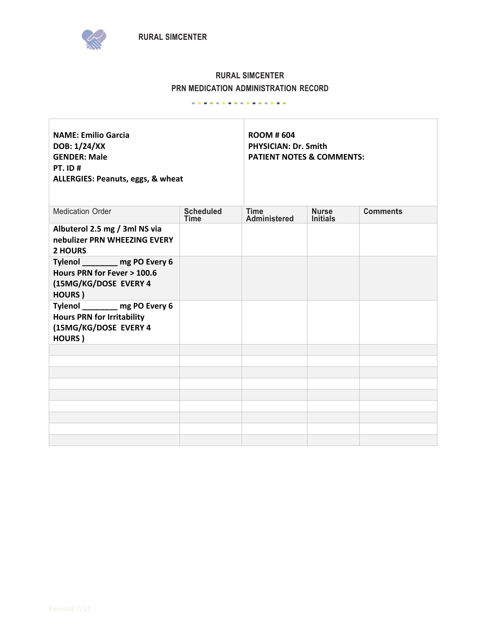



## **RURAL SIMCENTER PRN MEDICATION ADMINISTRATION RECORD**

Ī.

#### . **. . . . . . . . . . . . . . .** .

| <b>NAME: Emilio Garcia</b><br>DOB: 1/24/XX<br><b>GENDER: Male</b><br><b>PT. ID#</b><br>ALLERGIES: Peanuts, eggs, & wheat |                                 | <b>ROOM #604</b><br><b>PHYSICIAN: Dr. Smith</b><br><b>PATIENT NOTES &amp; COMMENTS:</b> |                                 |                 |
|--------------------------------------------------------------------------------------------------------------------------|---------------------------------|-----------------------------------------------------------------------------------------|---------------------------------|-----------------|
| <b>Medication Order</b>                                                                                                  | <b>Scheduled</b><br><b>Time</b> | <b>Time</b><br><b>Administered</b>                                                      | <b>Nurse</b><br><b>Initials</b> | <b>Comments</b> |
| Albuterol 2.5 mg / 3ml NS via<br>nebulizer PRN WHEEZING EVERY<br>2 HOURS                                                 |                                 |                                                                                         |                                 |                 |
| Tylenol mg PO Every 6<br>Hours PRN for Fever > 100.6<br>(15MG/KG/DOSE EVERY 4<br>HOURS)                                  |                                 |                                                                                         |                                 |                 |
| Tylenol _______ mg PO Every 6<br><b>Hours PRN for Irritability</b><br>(15MG/KG/DOSE EVERY 4<br>HOURS)                    |                                 |                                                                                         |                                 |                 |
|                                                                                                                          |                                 |                                                                                         |                                 |                 |
|                                                                                                                          |                                 |                                                                                         |                                 |                 |
|                                                                                                                          |                                 |                                                                                         |                                 |                 |
|                                                                                                                          |                                 |                                                                                         |                                 |                 |
|                                                                                                                          |                                 |                                                                                         |                                 |                 |
|                                                                                                                          |                                 |                                                                                         |                                 |                 |
|                                                                                                                          |                                 |                                                                                         |                                 |                 |
|                                                                                                                          |                                 |                                                                                         |                                 |                 |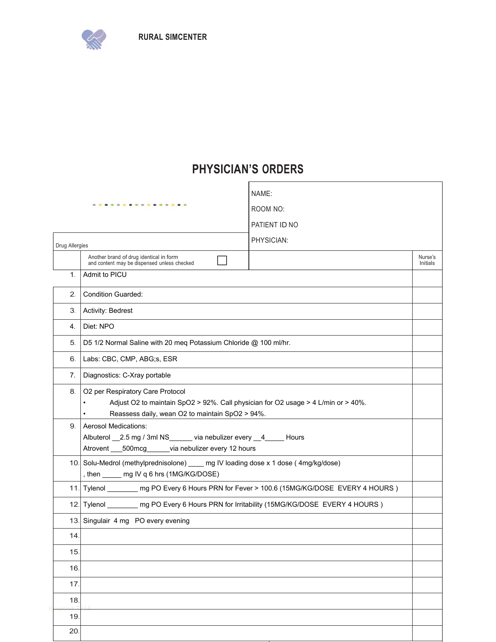

# **PHYSICIAN'S ORDERS**

|                | .                                                                                                                                                                                     | NAME:<br>ROOM NO:<br>PATIENT ID NO |                     |
|----------------|---------------------------------------------------------------------------------------------------------------------------------------------------------------------------------------|------------------------------------|---------------------|
| Drug Allergies |                                                                                                                                                                                       | PHYSICIAN:                         |                     |
|                | Another brand of drug identical in form<br>and content may be dispensed unless checked                                                                                                |                                    | Nurse's<br>Initials |
| 1.             | Admit to PICU                                                                                                                                                                         |                                    |                     |
| 2.             | <b>Condition Guarded:</b>                                                                                                                                                             |                                    |                     |
| З.             | Activity: Bedrest                                                                                                                                                                     |                                    |                     |
| 4.             | Diet: NPO                                                                                                                                                                             |                                    |                     |
| 5.             | D5 1/2 Normal Saline with 20 meq Potassium Chloride @ 100 ml/hr.                                                                                                                      |                                    |                     |
| 6.             | Labs: CBC, CMP, ABG;s, ESR                                                                                                                                                            |                                    |                     |
| 7.             | Diagnostics: C-Xray portable                                                                                                                                                          |                                    |                     |
| 8.             | O2 per Respiratory Care Protocol<br>Adjust O2 to maintain SpO2 > 92%. Call physician for O2 usage > 4 L/min or > 40%.<br>Reassess daily, wean O2 to maintain SpO2 > 94%.<br>$\bullet$ |                                    |                     |
| 9.             | <b>Aerosol Medications:</b><br>Albuterol 2.5 mg / 3ml NS via nebulizer every 4 Hours<br>Atrovent ___500mcg______via nebulizer every 12 hours                                          |                                    |                     |
|                | 10. Solu-Medrol (methylprednisolone) ____ mg IV loading dose x 1 dose (4mg/kg/dose)<br>, then ______ mg IV q 6 hrs (1MG/KG/DOSE)                                                      |                                    |                     |
|                | 11. Tylenol ________ mg PO Every 6 Hours PRN for Fever > 100.6 (15MG/KG/DOSE EVERY 4 HOURS)                                                                                           |                                    |                     |
|                | 12. Tylenol _________ mg PO Every 6 Hours PRN for Irritability (15MG/KG/DOSE EVERY 4 HOURS)                                                                                           |                                    |                     |
|                | 13. Singulair 4 mg PO every evening                                                                                                                                                   |                                    |                     |
| 14.            |                                                                                                                                                                                       |                                    |                     |
| 15.            |                                                                                                                                                                                       |                                    |                     |
| 16.            |                                                                                                                                                                                       |                                    |                     |
| 17.            |                                                                                                                                                                                       |                                    |                     |
| 18.            |                                                                                                                                                                                       |                                    |                     |
| 19             |                                                                                                                                                                                       |                                    |                     |
| 20             |                                                                                                                                                                                       |                                    |                     |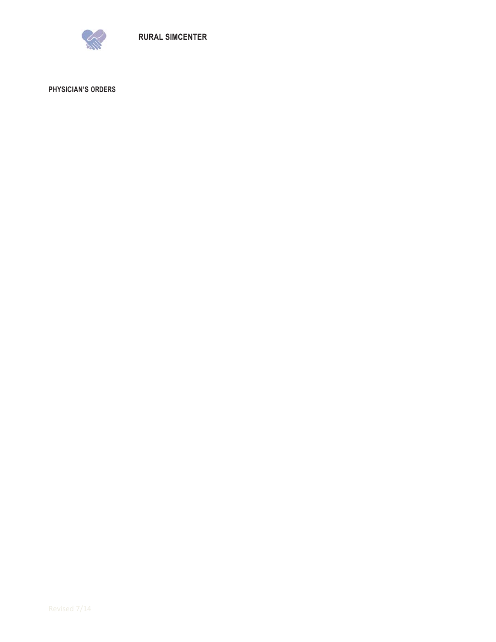

**PHYSICIAN'S ORDERS**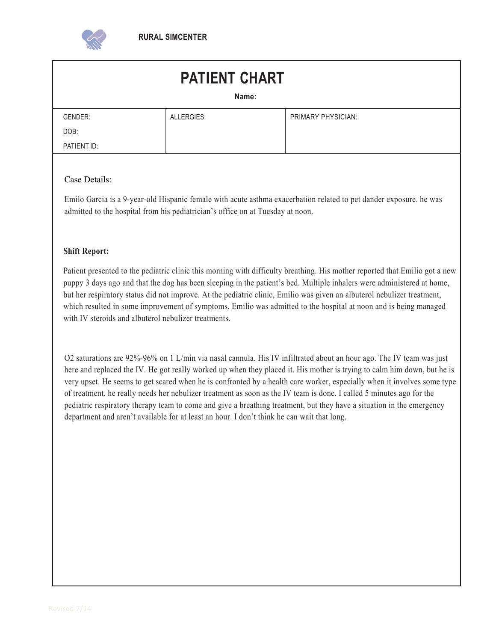

# **PATIENT CHART**

| × | ×<br>۰. |  |
|---|---------|--|

| GENDER:     | ALLERGIES: | PRIMARY PHYSICIAN: |
|-------------|------------|--------------------|
| DOB:        |            |                    |
| PATIENT ID: |            |                    |

### Case Details:

Emilo Garcia is a 9-year-old Hispanic female with acute asthma exacerbation related to pet dander exposure. he was admitted to the hospital from his pediatrician's office on at Tuesday at noon.

#### **Shift Report:**

Patient presented to the pediatric clinic this morning with difficulty breathing. His mother reported that Emilio got a new puppy 3 days ago and that the dog has been sleeping in the patient's bed. Multiple inhalers were administered at home, but her respiratory status did not improve. At the pediatric clinic, Emilio was given an albuterol nebulizer treatment, which resulted in some improvement of symptoms. Emilio was admitted to the hospital at noon and is being managed with IV steroids and albuterol nebulizer treatments.

O2 saturations are 92%-96% on 1 L/min via nasal cannula. His IV infiltrated about an hour ago. The IV team was just here and replaced the IV. He got really worked up when they placed it. His mother is trying to calm him down, but he is very upset. He seems to get scared when he is confronted by a health care worker, especially when it involves some type of treatment. he really needs her nebulizer treatment as soon as the IV team is done. I called 5 minutes ago for the pediatric respiratory therapy team to come and give a breathing treatment, but they have a situation in the emergency department and aren't available for at least an hour. I don't think he can wait that long.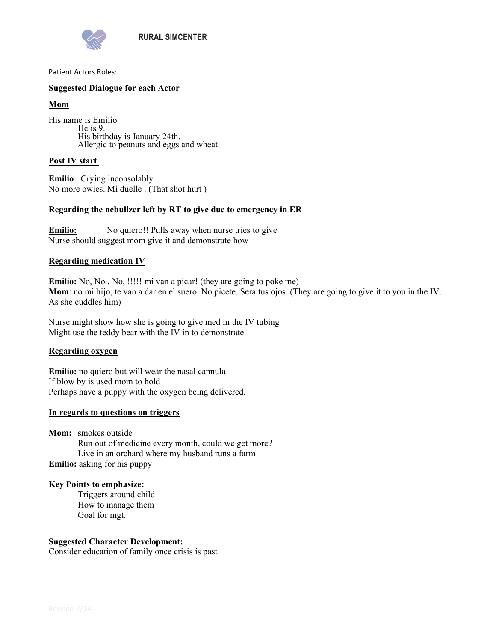

Patient Actors Roles:

#### **Suggested Dialogue for each Actor**

#### **Mom**

His name is Emilio He is 9. His birthday is January 24th. Allergic to peanuts and eggs and wheat

#### **Post IV start**

**Emilio**: Crying inconsolably. No more owies. Mi duelle . (That shot hurt )

#### **Regarding the nebulizer left by RT to give due to emergency in ER**

**Emilio:** No quiero!! Pulls away when nurse tries to give Nurse should suggest mom give it and demonstrate how

#### **Regarding medication IV**

**Emilio:** No, No, No, !!!!! mi van a picar! (they are going to poke me) **Mom**: no mi hijo, te van a dar en el suero. No picete. Sera tus ojos. (They are going to give it to you in the IV. As she cuddles him)

Nurse might show how she is going to give med in the IV tubing Might use the teddy bear with the IV in to demonstrate.

#### **Regarding oxygen**

**Emilio:** no quiero but will wear the nasal cannula If blow by is used mom to hold Perhaps have a puppy with the oxygen being delivered.

#### **In regards to questions on triggers**

**Mom:** smokes outside Run out of medicine every month, could we get more? Live in an orchard where my husband runs a farm **Emilio:** asking for his puppy

#### **Key Points to emphasize:**

Triggers around child How to manage them Goal for mgt.

#### **Suggested Character Development:**

Consider education of family once crisis is past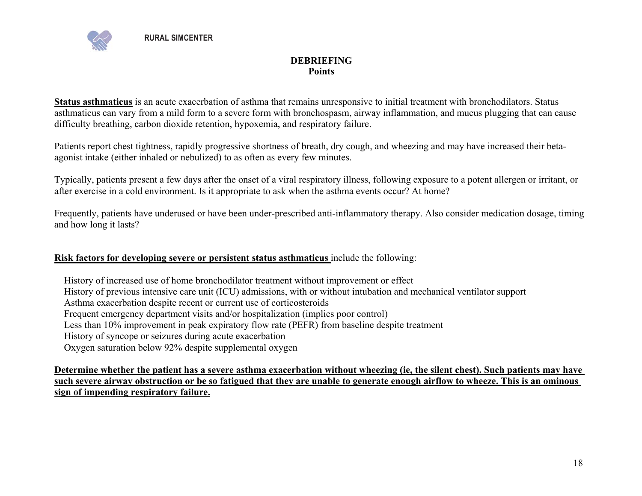

## **DEBRIEFING Points**

**Status asthmaticus** is an acute exacerbation of asthma that remains unresponsive to initial treatment with bronchodilators. Status asthmaticus can vary from a mild form to a severe form with bronchospasm, airway inflammation, and mucus plugging that can cause difficulty breathing, carbon dioxide retention, hypoxemia, and respiratory failure.

Patients report chest tightness, rapidly progressive shortness of breath, dry cough, and wheezing and may have increased their betaagonist intake (either inhaled or nebulized) to as often as every few minutes.

Typically, patients present a few days after the onset of a viral respiratory illness, following exposure to a potent allergen or irritant, or after exercise in a cold environment. Is it appropriate to ask when the asthma events occur? At home?

Frequently, patients have underused or have been under-prescribed anti-inflammatory therapy. Also consider medication dosage, timing and how long it lasts?

### **Risk factors for developing severe or persistent status asthmaticus** include the following:

 History of increased use of home bronchodilator treatment without improvement or effect History of previous intensive care unit (ICU) admissions, with or without intubation and mechanical ventilator support Asthma exacerbation despite recent or current use of corticosteroids Frequent emergency department visits and/or hospitalization (implies poor control) Less than 10% improvement in peak expiratory flow rate (PEFR) from baseline despite treatment History of syncope or seizures during acute exacerbation Oxygen saturation below 92% despite supplemental oxygen

**Determine whether the patient has a severe asthma exacerbation without wheezing (ie, the silent chest). Such patients may have such severe airway obstruction or be so fatigued that they are unable to generate enough airflow to wheeze. This is an ominous sign of impending respiratory failure.**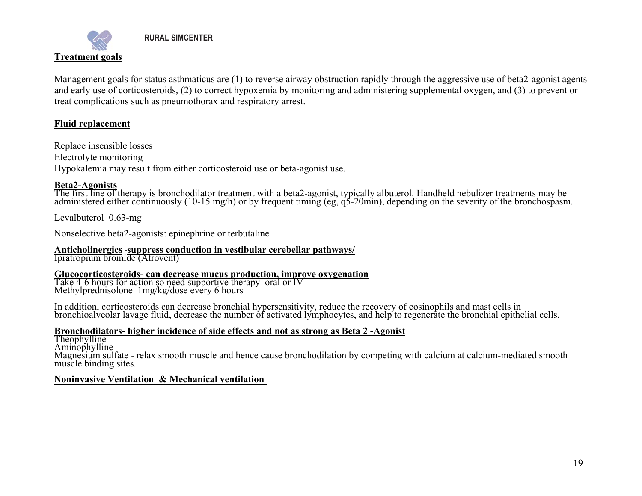

 **RURAL SIMCENTER** 

Management goals for status asthmaticus are (1) to reverse airway obstruction rapidly through the aggressive use of beta2-agonist agents and early use of corticosteroids, (2) to correct hypoxemia by monitoring and administering supplemental oxygen, and (3) to prevent or treat complications such as pneumothorax and respiratory arrest.

### **Fluid replacement**

Replace insensible losses Electrolyte monitoring Hypokalemia may result from either corticosteroid use or beta-agonist use.

**Beta2-Agonists**<br>The first line of therapy is bronchodilator treatment with a beta2-agonist, typically albuterol. Handheld nebulizer treatments may be administered either continuously (10-15 mg/h) or by frequent timing (eg

Levalbuterol 0.63-mg

Nonselective beta2-agonists: epinephrine or terbutaline

# **Anticholinergics** ‐**suppress conduction in vestibular cerebellar pathways/** Ipratropium bromide (Atrovent)

**Glucocorticosteroids- can decrease mucus production, improve oxygenation** Take 4-6 hours for action so need supportive therapy oral or IV Methylprednisolone 1mg/kg/dose every 6 hours

In addition, corticosteroids can decrease bronchial hypersensitivity, reduce the recovery of eosinophils and mast cells in<br>bronchioalyeolar lavage fluid, decrease the number of activated lymphocytes, and help to regenerate

**Bronchodilators- higher incidence of side effects and not as strong as Beta 2 -Agonist<br>Theophylline<br>Aminophylline<br>Magnesium sulfate - relax smooth muscle and hence cause bronchodilation by competing with calcium at calciu** 

### **Noninvasive Ventilation & Mechanical ventilation**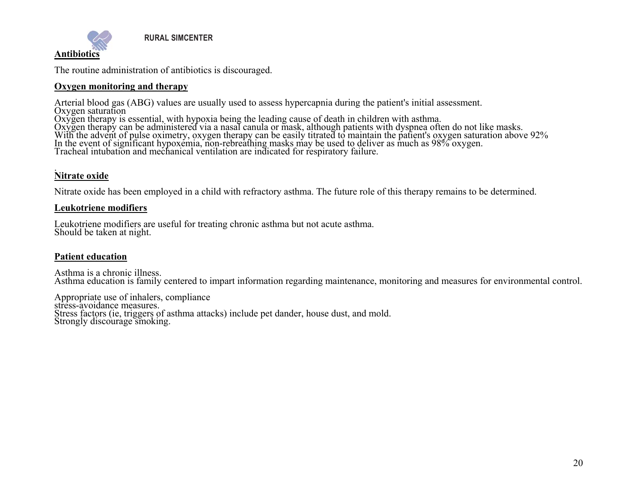

The routine administration of antibiotics is discouraged.

#### **Oxygen monitoring and therapy**

Arterial blood gas (ABG) values are usually used to assess hypercapnia during the patient's initial assessment.<br>Oxygen saturation<br>Oxygen therapy is essential, with hypoxia being the leading cause of death in children with

#### . **Nitrate oxide**

Nitrate oxide has been employed in a child with refractory asthma. The future role of this therapy remains to be determined.

#### **Leukotriene modifiers**

Leukotriene modifiers are useful for treating chronic asthma but not acute asthma. Should be taken at night.

### **Patient education**

Asthma is a chronic illness. Asthma education is family centered to impart information regarding maintenance, monitoring and measures for environmental control.

Appropriate use of inhalers, compliance stress-avoidance measures. Stress factors (ie, triggers of asthma attacks) include pet dander, house dust, and mold. Strongly discourage smoking.